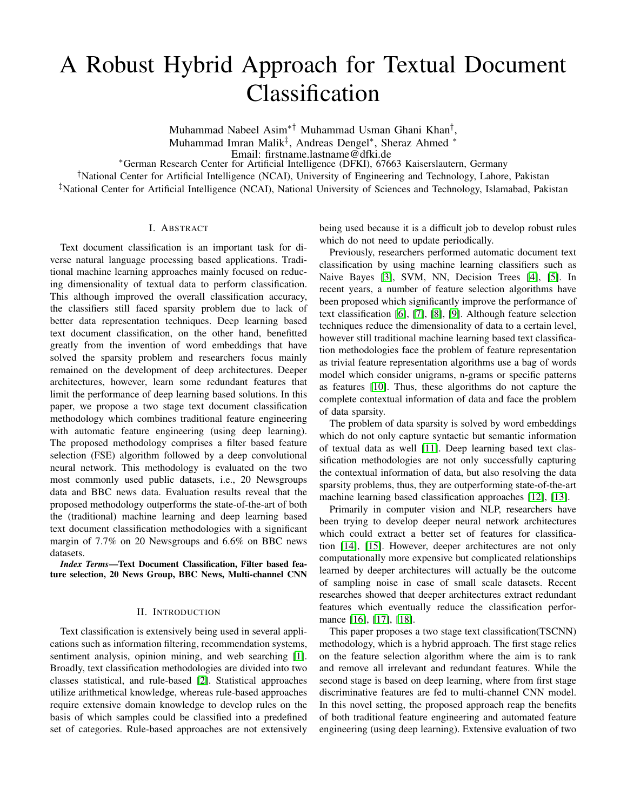# A Robust Hybrid Approach for Textual Document Classification

Muhammad Nabeel Asim∗† Muhammad Usman Ghani Khan† , Muhammad Imran Malik‡ , Andreas Dengel<sup>∗</sup> , Sheraz Ahmed <sup>∗</sup>

Email: firstname.lastname@dfki.de

<sup>∗</sup>German Research Center for Artificial Intelligence (DFKI), 67663 Kaiserslautern, Germany

†National Center for Artificial Intelligence (NCAI), University of Engineering and Technology, Lahore, Pakistan

‡National Center for Artificial Intelligence (NCAI), National University of Sciences and Technology, Islamabad, Pakistan

# I. ABSTRACT

Text document classification is an important task for diverse natural language processing based applications. Traditional machine learning approaches mainly focused on reducing dimensionality of textual data to perform classification. This although improved the overall classification accuracy, the classifiers still faced sparsity problem due to lack of better data representation techniques. Deep learning based text document classification, on the other hand, benefitted greatly from the invention of word embeddings that have solved the sparsity problem and researchers focus mainly remained on the development of deep architectures. Deeper architectures, however, learn some redundant features that limit the performance of deep learning based solutions. In this paper, we propose a two stage text document classification methodology which combines traditional feature engineering with automatic feature engineering (using deep learning). The proposed methodology comprises a filter based feature selection (FSE) algorithm followed by a deep convolutional neural network. This methodology is evaluated on the two most commonly used public datasets, i.e., 20 Newsgroups data and BBC news data. Evaluation results reveal that the proposed methodology outperforms the state-of-the-art of both the (traditional) machine learning and deep learning based text document classification methodologies with a significant margin of 7.7% on 20 Newsgroups and 6.6% on BBC news datasets.

*Index Terms*—Text Document Classification, Filter based feature selection, 20 News Group, BBC News, Multi-channel CNN

## II. INTRODUCTION

Text classification is extensively being used in several applications such as information filtering, recommendation systems, sentiment analysis, opinion mining, and web searching [\[1\]](#page-5-0). Broadly, text classification methodologies are divided into two classes statistical, and rule-based [\[2\]](#page-5-1). Statistical approaches utilize arithmetical knowledge, whereas rule-based approaches require extensive domain knowledge to develop rules on the basis of which samples could be classified into a predefined set of categories. Rule-based approaches are not extensively being used because it is a difficult job to develop robust rules which do not need to update periodically.

Previously, researchers performed automatic document text classification by using machine learning classifiers such as Naive Bayes [\[3\]](#page-5-2), SVM, NN, Decision Trees [\[4\]](#page-5-3), [\[5\]](#page-6-0). In recent years, a number of feature selection algorithms have been proposed which significantly improve the performance of text classification [\[6\]](#page-6-1), [\[7\]](#page-6-2), [\[8\]](#page-6-3), [\[9\]](#page-6-4). Although feature selection techniques reduce the dimensionality of data to a certain level, however still traditional machine learning based text classification methodologies face the problem of feature representation as trivial feature representation algorithms use a bag of words model which consider unigrams, n-grams or specific patterns as features [\[10\]](#page-6-5). Thus, these algorithms do not capture the complete contextual information of data and face the problem of data sparsity.

The problem of data sparsity is solved by word embeddings which do not only capture syntactic but semantic information of textual data as well [\[11\]](#page-6-6). Deep learning based text classification methodologies are not only successfully capturing the contextual information of data, but also resolving the data sparsity problems, thus, they are outperforming state-of-the-art machine learning based classification approaches [\[12\]](#page-6-7), [\[13\]](#page-6-8).

Primarily in computer vision and NLP, researchers have been trying to develop deeper neural network architectures which could extract a better set of features for classification [\[14\]](#page-6-9), [\[15\]](#page-6-10). However, deeper architectures are not only computationally more expensive but complicated relationships learned by deeper architectures will actually be the outcome of sampling noise in case of small scale datasets. Recent researches showed that deeper architectures extract redundant features which eventually reduce the classification performance [\[16\]](#page-6-11), [\[17\]](#page-6-12), [\[18\]](#page-6-13).

This paper proposes a two stage text classification(TSCNN) methodology, which is a hybrid approach. The first stage relies on the feature selection algorithm where the aim is to rank and remove all irrelevant and redundant features. While the second stage is based on deep learning, where from first stage discriminative features are fed to multi-channel CNN model. In this novel setting, the proposed approach reap the benefits of both traditional feature engineering and automated feature engineering (using deep learning). Extensive evaluation of two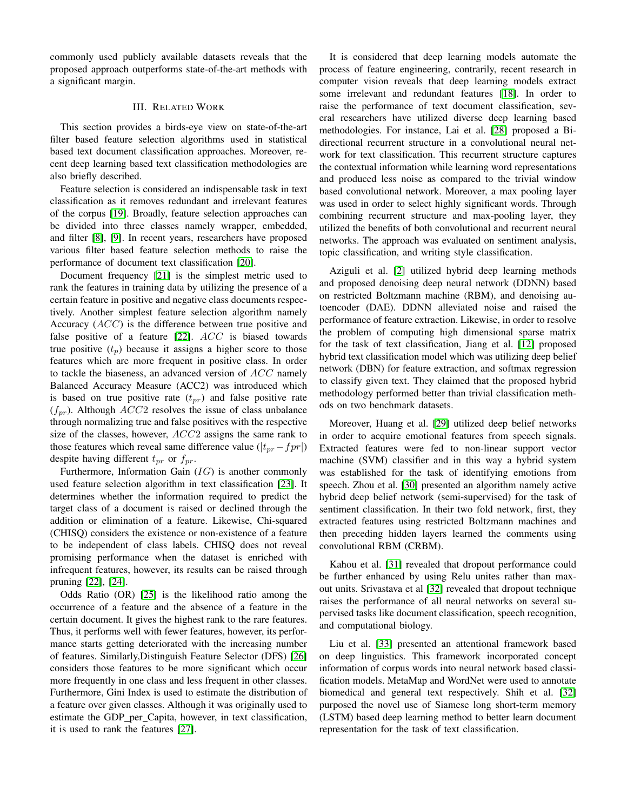commonly used publicly available datasets reveals that the proposed approach outperforms state-of-the-art methods with a significant margin.

# III. RELATED WORK

This section provides a birds-eye view on state-of-the-art filter based feature selection algorithms used in statistical based text document classification approaches. Moreover, recent deep learning based text classification methodologies are also briefly described.

Feature selection is considered an indispensable task in text classification as it removes redundant and irrelevant features of the corpus [\[19\]](#page-6-14). Broadly, feature selection approaches can be divided into three classes namely wrapper, embedded, and filter [\[8\]](#page-6-3), [\[9\]](#page-6-4). In recent years, researchers have proposed various filter based feature selection methods to raise the performance of document text classification [\[20\]](#page-6-15).

Document frequency [\[21\]](#page-6-16) is the simplest metric used to rank the features in training data by utilizing the presence of a certain feature in positive and negative class documents respectively. Another simplest feature selection algorithm namely Accuracy (ACC) is the difference between true positive and false positive of a feature  $[22]$ .  $ACC$  is biased towards true positive  $(t_p)$  because it assigns a higher score to those features which are more frequent in positive class. In order to tackle the biaseness, an advanced version of ACC namely Balanced Accuracy Measure (ACC2) was introduced which is based on true positive rate  $(t_{pr})$  and false positive rate  $(f_{pr})$ . Although ACC2 resolves the issue of class unbalance through normalizing true and false positives with the respective size of the classes, however, ACC2 assigns the same rank to those features which reveal same difference value ( $|t_{pr}-fpr|$ ) despite having different  $t_{pr}$  or  $f_{pr}$ .

Furthermore, Information Gain  $(IG)$  is another commonly used feature selection algorithm in text classification [\[23\]](#page-6-18). It determines whether the information required to predict the target class of a document is raised or declined through the addition or elimination of a feature. Likewise, Chi-squared (CHISQ) considers the existence or non-existence of a feature to be independent of class labels. CHISQ does not reveal promising performance when the dataset is enriched with infrequent features, however, its results can be raised through pruning [\[22\]](#page-6-17), [\[24\]](#page-6-19).

Odds Ratio (OR) [\[25\]](#page-6-20) is the likelihood ratio among the occurrence of a feature and the absence of a feature in the certain document. It gives the highest rank to the rare features. Thus, it performs well with fewer features, however, its performance starts getting deteriorated with the increasing number of features. Similarly,Distinguish Feature Selector (DFS) [\[26\]](#page-6-21) considers those features to be more significant which occur more frequently in one class and less frequent in other classes. Furthermore, Gini Index is used to estimate the distribution of a feature over given classes. Although it was originally used to estimate the GDP\_per\_Capita, however, in text classification, it is used to rank the features [\[27\]](#page-6-22).

It is considered that deep learning models automate the process of feature engineering, contrarily, recent research in computer vision reveals that deep learning models extract some irrelevant and redundant features [\[18\]](#page-6-13). In order to raise the performance of text document classification, several researchers have utilized diverse deep learning based methodologies. For instance, Lai et al. [\[28\]](#page-6-23) proposed a Bidirectional recurrent structure in a convolutional neural network for text classification. This recurrent structure captures the contextual information while learning word representations and produced less noise as compared to the trivial window based convolutional network. Moreover, a max pooling layer was used in order to select highly significant words. Through combining recurrent structure and max-pooling layer, they utilized the benefits of both convolutional and recurrent neural networks. The approach was evaluated on sentiment analysis, topic classification, and writing style classification.

Aziguli et al. [\[2\]](#page-5-1) utilized hybrid deep learning methods and proposed denoising deep neural network (DDNN) based on restricted Boltzmann machine (RBM), and denoising autoencoder (DAE). DDNN alleviated noise and raised the performance of feature extraction. Likewise, in order to resolve the problem of computing high dimensional sparse matrix for the task of text classification, Jiang et al. [\[12\]](#page-6-7) proposed hybrid text classification model which was utilizing deep belief network (DBN) for feature extraction, and softmax regression to classify given text. They claimed that the proposed hybrid methodology performed better than trivial classification methods on two benchmark datasets.

Moreover, Huang et al. [\[29\]](#page-6-24) utilized deep belief networks in order to acquire emotional features from speech signals. Extracted features were fed to non-linear support vector machine (SVM) classifier and in this way a hybrid system was established for the task of identifying emotions from speech. Zhou et al. [\[30\]](#page-6-25) presented an algorithm namely active hybrid deep belief network (semi-supervised) for the task of sentiment classification. In their two fold network, first, they extracted features using restricted Boltzmann machines and then preceding hidden layers learned the comments using convolutional RBM (CRBM).

Kahou et al. [\[31\]](#page-6-26) revealed that dropout performance could be further enhanced by using Relu unites rather than maxout units. Srivastava et al [\[32\]](#page-6-27) revealed that dropout technique raises the performance of all neural networks on several supervised tasks like document classification, speech recognition, and computational biology.

Liu et al. [\[33\]](#page-6-28) presented an attentional framework based on deep linguistics. This framework incorporated concept information of corpus words into neural network based classification models. MetaMap and WordNet were used to annotate biomedical and general text respectively. Shih et al. [\[32\]](#page-6-27) purposed the novel use of Siamese long short-term memory (LSTM) based deep learning method to better learn document representation for the task of text classification.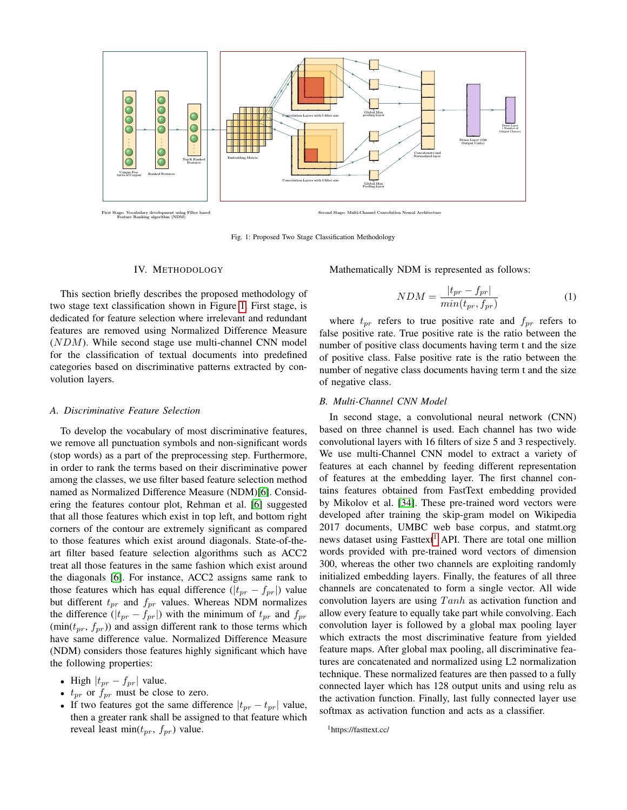<span id="page-2-0"></span>

Fig. 1: Proposed Two Stage Classification Methodology

## IV. METHODOLOGY

This section briefly describes the proposed methodology of two stage text classification shown in Figure [1.](#page-2-0) First stage, is dedicated for feature selection where irrelevant and redundant features are removed using Normalized Difference Measure (NDM). While second stage use multi-channel CNN model for the classification of textual documents into predefined categories based on discriminative patterns extracted by convolution layers.

# *A. Discriminative Feature Selection*

To develop the vocabulary of most discriminative features, we remove all punctuation symbols and non-significant words (stop words) as a part of the preprocessing step. Furthermore, in order to rank the terms based on their discriminative power among the classes, we use filter based feature selection method named as Normalized Difference Measure (NDM)[\[6\]](#page-6-1). Considering the features contour plot, Rehman et al. [\[6\]](#page-6-1) suggested that all those features which exist in top left, and bottom right corners of the contour are extremely significant as compared to those features which exist around diagonals. State-of-theart filter based feature selection algorithms such as ACC2 treat all those features in the same fashion which exist around the diagonals [\[6\]](#page-6-1). For instance, ACC2 assigns same rank to those features which has equal difference ( $|t_{pr} - f_{pr}|$ ) value but different  $t_{pr}$  and  $f_{pr}$  values. Whereas NDM normalizes the difference  $(|t_{pr} - f_{pr}|)$  with the minimum of  $t_{pr}$  and  $f_{pr}$  $(\min(t_{pr}, f_{pr}))$  and assign different rank to those terms which have same difference value. Normalized Difference Measure (NDM) considers those features highly significant which have the following properties:

- High  $|t_{pr} f_{pr}|$  value.
- $t_{pr}$  or  $f_{pr}$  must be close to zero.
- If two features got the same difference  $|t_{pr} t_{pr}|$  value, then a greater rank shall be assigned to that feature which reveal least min( $t_{pr}$ ,  $f_{pr}$ ) value.

Mathematically NDM is represented as follows:

$$
NDM = \frac{|t_{pr} - f_{pr}|}{min(t_{pr}, f_{pr})}
$$
\n(1)

where  $t_{pr}$  refers to true positive rate and  $f_{pr}$  refers to false positive rate. True positive rate is the ratio between the number of positive class documents having term t and the size of positive class. False positive rate is the ratio between the number of negative class documents having term t and the size of negative class.

#### *B. Multi-Channel CNN Model*

In second stage, a convolutional neural network (CNN) based on three channel is used. Each channel has two wide convolutional layers with 16 filters of size 5 and 3 respectively. We use multi-Channel CNN model to extract a variety of features at each channel by feeding different representation of features at the embedding layer. The first channel contains features obtained from FastText embedding provided by Mikolov et al. [\[34\]](#page-6-29). These pre-trained word vectors were developed after training the skip-gram model on Wikipedia 2017 documents, UMBC web base corpus, and statmt.org news dataset using Fasttext<sup>[1](#page-2-1)</sup> API. There are total one million words provided with pre-trained word vectors of dimension 300, whereas the other two channels are exploiting randomly initialized embedding layers. Finally, the features of all three channels are concatenated to form a single vector. All wide convolution layers are using  $Tanh$  as activation function and allow every feature to equally take part while convolving. Each convolution layer is followed by a global max pooling layer which extracts the most discriminative feature from yielded feature maps. After global max pooling, all discriminative features are concatenated and normalized using L2 normalization technique. These normalized features are then passed to a fully connected layer which has 128 output units and using relu as the activation function. Finally, last fully connected layer use softmax as activation function and acts as a classifier.

<span id="page-2-1"></span><sup>1</sup>https://fasttext.cc/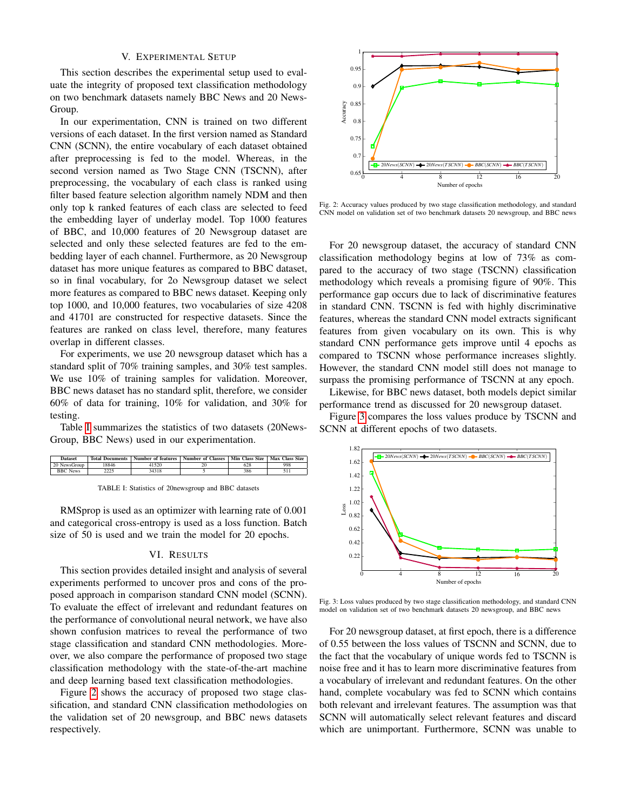# V. EXPERIMENTAL SETUP

This section describes the experimental setup used to evaluate the integrity of proposed text classification methodology on two benchmark datasets namely BBC News and 20 News-Group.

In our experimentation, CNN is trained on two different versions of each dataset. In the first version named as Standard CNN (SCNN), the entire vocabulary of each dataset obtained after preprocessing is fed to the model. Whereas, in the second version named as Two Stage CNN (TSCNN), after preprocessing, the vocabulary of each class is ranked using filter based feature selection algorithm namely NDM and then only top k ranked features of each class are selected to feed the embedding layer of underlay model. Top 1000 features of BBC, and 10,000 features of 20 Newsgroup dataset are selected and only these selected features are fed to the embedding layer of each channel. Furthermore, as 20 Newsgroup dataset has more unique features as compared to BBC dataset, so in final vocabulary, for 2o Newsgroup dataset we select more features as compared to BBC news dataset. Keeping only top 1000, and 10,000 features, two vocabularies of size 4208 and 41701 are constructed for respective datasets. Since the features are ranked on class level, therefore, many features overlap in different classes.

For experiments, we use 20 newsgroup dataset which has a standard split of 70% training samples, and 30% test samples. We use  $10\%$  of training samples for validation. Moreover, BBC news dataset has no standard split, therefore, we consider 60% of data for training, 10% for validation, and 30% for testing.

Table [I](#page-3-0) summarizes the statistics of two datasets (20News-Group, BBC News) used in our experimentation.

<span id="page-3-0"></span>

| 20 NewsGroup<br>18846<br>1520<br>628 |     |
|--------------------------------------|-----|
|                                      | 998 |
| <b>BBC</b> News<br>386<br>34318      |     |

TABLE I: Statistics of 20newsgroup and BBC datasets

RMSprop is used as an optimizer with learning rate of 0.001 and categorical cross-entropy is used as a loss function. Batch size of 50 is used and we train the model for 20 epochs.

#### VI. RESULTS

This section provides detailed insight and analysis of several experiments performed to uncover pros and cons of the proposed approach in comparison standard CNN model (SCNN). To evaluate the effect of irrelevant and redundant features on the performance of convolutional neural network, we have also shown confusion matrices to reveal the performance of two stage classification and standard CNN methodologies. Moreover, we also compare the performance of proposed two stage classification methodology with the state-of-the-art machine and deep learning based text classification methodologies.

Figure [2](#page-3-1) shows the accuracy of proposed two stage classification, and standard CNN classification methodologies on the validation set of 20 newsgroup, and BBC news datasets respectively.

<span id="page-3-1"></span>

Fig. 2: Accuracy values produced by two stage classification methodology, and standard 1 CNN model on validation set of two benchmark datasets 20 newsgroup, and BBC news

For 20 newsgroup dataset, the accuracy of standard CNN classification methodology begins at low of 73% as compared to the accuracy of two stage (TSCNN) classification methodology which reveals a promising figure of 90%. This performance gap occurs due to lack of discriminative features in standard CNN. TSCNN is fed with highly discriminative features, whereas the standard CNN model extracts significant features from given vocabulary on its own. This is why standard CNN performance gets improve until 4 epochs as compared to TSCNN whose performance increases slightly. However, the standard CNN model still does not manage to surpass the promising performance of TSCNN at any epoch.

Likewise, for BBC news dataset, both models depict similar performance trend as discussed for 20 newsgroup dataset.

Figure [3](#page-3-2) compares the loss values produce by TSCNN and SCNN at different epochs of two datasets.

<span id="page-3-2"></span>

Fig. 3: Loss values produced by two stage classification methodology, and standard CNN 1 model on validation set of two benchmark datasets 20 newsgroup, and BBC news

For 20 newsgroup dataset, at first epoch, there is a difference of 0.55 between the loss values of TSCNN and SCNN, due to the fact that the vocabulary of unique words fed to TSCNN is noise free and it has to learn more discriminative features from a vocabulary of irrelevant and redundant features. On the other hand, complete vocabulary was fed to SCNN which contains both relevant and irrelevant features. The assumption was that SCNN will automatically select relevant features and discard which are unimportant. Furthermore, SCNN was unable to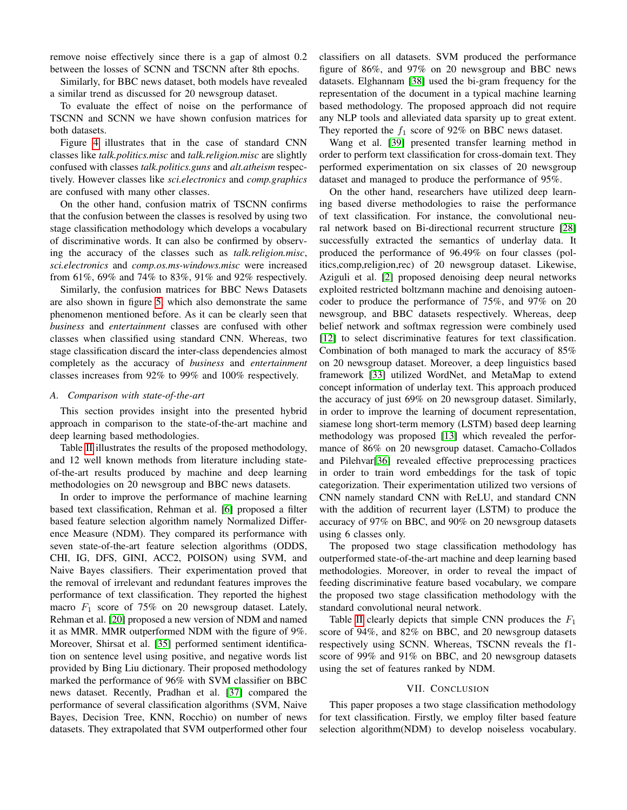remove noise effectively since there is a gap of almost 0.2 between the losses of SCNN and TSCNN after 8th epochs.

Similarly, for BBC news dataset, both models have revealed a similar trend as discussed for 20 newsgroup dataset.

To evaluate the effect of noise on the performance of TSCNN and SCNN we have shown confusion matrices for both datasets.

Figure [4](#page-5-4) illustrates that in the case of standard CNN classes like *talk.politics.misc* and *talk.religion.misc* are slightly confused with classes *talk.politics.guns* and *alt.atheism* respectively. However classes like *sci.electronics* and *comp.graphics* are confused with many other classes.

On the other hand, confusion matrix of TSCNN confirms that the confusion between the classes is resolved by using two stage classification methodology which develops a vocabulary of discriminative words. It can also be confirmed by observing the accuracy of the classes such as *talk.religion.misc*, *sci.electronics* and *comp.os.ms-windows.misc* were increased from 61%, 69% and 74% to 83%, 91% and 92% respectively.

Similarly, the confusion matrices for BBC News Datasets are also shown in figure [5,](#page-5-5) which also demonstrate the same phenomenon mentioned before. As it can be clearly seen that *business* and *entertainment* classes are confused with other classes when classified using standard CNN. Whereas, two stage classification discard the inter-class dependencies almost completely as the accuracy of *business* and *entertainment* classes increases from 92% to 99% and 100% respectively.

### *A. Comparison with state-of-the-art*

This section provides insight into the presented hybrid approach in comparison to the state-of-the-art machine and deep learning based methodologies.

Table [II](#page-5-6) illustrates the results of the proposed methodology, and 12 well known methods from literature including stateof-the-art results produced by machine and deep learning methodologies on 20 newsgroup and BBC news datasets.

In order to improve the performance of machine learning based text classification, Rehman et al. [\[6\]](#page-6-1) proposed a filter based feature selection algorithm namely Normalized Difference Measure (NDM). They compared its performance with seven state-of-the-art feature selection algorithms (ODDS, CHI, IG, DFS, GINI, ACC2, POISON) using SVM, and Naive Bayes classifiers. Their experimentation proved that the removal of irrelevant and redundant features improves the performance of text classification. They reported the highest macro  $F_1$  score of 75% on 20 newsgroup dataset. Lately, Rehman et al. [\[20\]](#page-6-15) proposed a new version of NDM and named it as MMR. MMR outperformed NDM with the figure of 9%. Moreover, Shirsat et al. [\[35\]](#page-6-30) performed sentiment identification on sentence level using positive, and negative words list provided by Bing Liu dictionary. Their proposed methodology marked the performance of 96% with SVM classifier on BBC news dataset. Recently, Pradhan et al. [\[37\]](#page-6-31) compared the performance of several classification algorithms (SVM, Naive Bayes, Decision Tree, KNN, Rocchio) on number of news datasets. They extrapolated that SVM outperformed other four classifiers on all datasets. SVM produced the performance figure of 86%, and 97% on 20 newsgroup and BBC news datasets. Elghannam [\[38\]](#page-6-32) used the bi-gram frequency for the representation of the document in a typical machine learning based methodology. The proposed approach did not require any NLP tools and alleviated data sparsity up to great extent. They reported the  $f_1$  score of 92% on BBC news dataset.

Wang et al. [\[39\]](#page-6-33) presented transfer learning method in order to perform text classification for cross-domain text. They performed experimentation on six classes of 20 newsgroup dataset and managed to produce the performance of 95%.

On the other hand, researchers have utilized deep learning based diverse methodologies to raise the performance of text classification. For instance, the convolutional neural network based on Bi-directional recurrent structure [\[28\]](#page-6-23) successfully extracted the semantics of underlay data. It produced the performance of 96.49% on four classes (politics,comp,religion,rec) of 20 newsgroup dataset. Likewise, Aziguli et al. [\[2\]](#page-5-1) proposed denoising deep neural networks exploited restricted boltzmann machine and denoising autoencoder to produce the performance of 75%, and 97% on 20 newsgroup, and BBC datasets respectively. Whereas, deep belief network and softmax regression were combinely used [\[12\]](#page-6-7) to select discriminative features for text classification. Combination of both managed to mark the accuracy of 85% on 20 newsgroup dataset. Moreover, a deep linguistics based framework [\[33\]](#page-6-28) utilized WordNet, and MetaMap to extend concept information of underlay text. This approach produced the accuracy of just 69% on 20 newsgroup dataset. Similarly, in order to improve the learning of document representation, siamese long short-term memory (LSTM) based deep learning methodology was proposed [\[13\]](#page-6-8) which revealed the performance of 86% on 20 newsgroup dataset. Camacho-Collados and Pilehvar[\[36\]](#page-6-34) revealed effective preprocessing practices in order to train word embeddings for the task of topic categorization. Their experimentation utilized two versions of CNN namely standard CNN with ReLU, and standard CNN with the addition of recurrent layer (LSTM) to produce the accuracy of 97% on BBC, and 90% on 20 newsgroup datasets using 6 classes only.

The proposed two stage classification methodology has outperformed state-of-the-art machine and deep learning based methodologies. Moreover, in order to reveal the impact of feeding discriminative feature based vocabulary, we compare the proposed two stage classification methodology with the standard convolutional neural network.

Table [II](#page-5-6) clearly depicts that simple CNN produces the  $F_1$ score of 94%, and 82% on BBC, and 20 newsgroup datasets respectively using SCNN. Whereas, TSCNN reveals the f1 score of 99% and 91% on BBC, and 20 newsgroup datasets using the set of features ranked by NDM.

## VII. CONCLUSION

This paper proposes a two stage classification methodology for text classification. Firstly, we employ filter based feature selection algorithm(NDM) to develop noiseless vocabulary.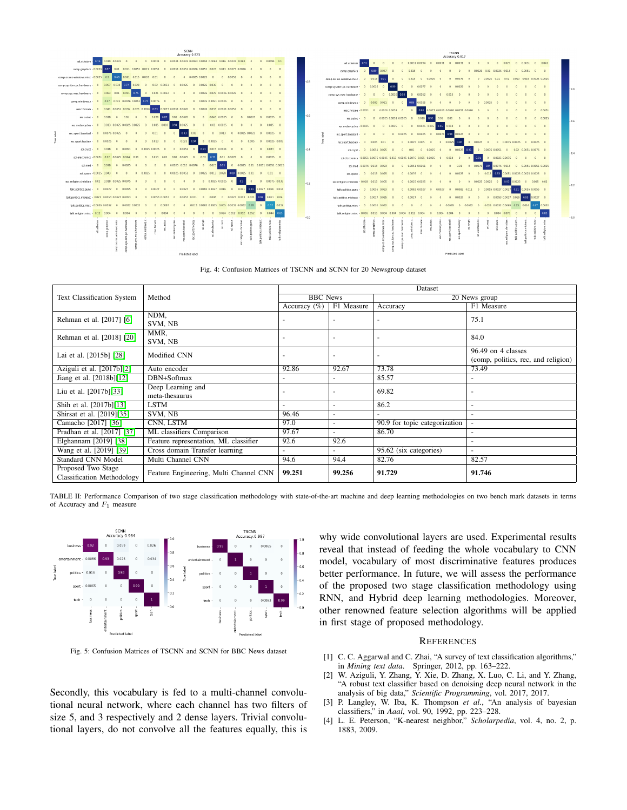<span id="page-5-4"></span>

Fig. 4: Confusion Matrices of TSCNN and SCNN for 20 Newsgroup dataset

<span id="page-5-6"></span>

|                                   | Method                                 | Dataset          |                          |                               |                                     |
|-----------------------------------|----------------------------------------|------------------|--------------------------|-------------------------------|-------------------------------------|
| <b>Text Classification System</b> |                                        | <b>BBC</b> News  |                          | 20 News group                 |                                     |
|                                   |                                        | Accuracy $(\% )$ | F1 Measure               | Accuracy                      | F1 Measure                          |
| Rehman et al. [2017] [6]          | NDM,                                   |                  |                          |                               | 75.1                                |
|                                   | SVM, NB                                |                  |                          |                               |                                     |
| Rehman et al. [2018] [20]         | MMR.                                   |                  | $\overline{\phantom{a}}$ |                               | 84.0                                |
|                                   | SVM, NB                                |                  |                          |                               |                                     |
| Lai et al. [2015b] [28]           | Modified CNN                           |                  | $\overline{a}$           | $\overline{\phantom{a}}$      | 96.49 on 4 classes                  |
|                                   |                                        |                  |                          |                               | (comp, politics, rec, and religion) |
| Aziguli et al. $[2017b][2]$       | Auto encoder                           | 92.86            | 92.67                    | 73.78                         | 73.49                               |
| Jiang et al. [2018b][12]          | DBN+Softmax                            |                  |                          | 85.57                         |                                     |
| Liu et al. [2017b][33]            | Deep Learning and                      |                  | ٠                        | 69.82                         |                                     |
|                                   | meta-thesaurus                         |                  |                          |                               |                                     |
| Shih et al. [2017b][13]           | <b>LSTM</b>                            |                  | $\overline{a}$           | 86.2                          | -                                   |
| Shirsat et al. [2019][35]         | SVM, NB                                | 96.46            | ٠                        |                               |                                     |
| Camacho [2017] [36]               | CNN, LSTM                              | 97.0             | ٠                        | 90.9 for topic categorization |                                     |
| Pradhan et al. [2017] [37]        | ML classifiers Comparison              | 97.67            |                          | 86.70                         |                                     |
| Elghannam [2019] [38]             | Feature representation, ML classifier  | 92.6             | 92.6                     |                               |                                     |
| Wang et al. [2019] [39]           | Cross domain Transfer learning         |                  |                          | 95.62 (six categories)        |                                     |
| <b>Standard CNN Model</b>         | Multi Channel CNN                      | 94.6             | 94.4                     | 82.76                         | 82.57                               |
| Proposed Two Stage                | Feature Engineering, Multi Channel CNN | 99.251           | 99.256                   | 91.729                        | 91.746                              |
| <b>Classification Methodology</b> |                                        |                  |                          |                               |                                     |

TABLE II: Performance Comparison of two stage classification methodology with state-of-the-art machine and deep learning methodologies on two bench mark datasets in terms of Accuracy and  $F_1$  measure

<span id="page-5-5"></span>

Fig. 5: Confusion Matrices of TSCNN and SCNN for BBC News dataset

Secondly, this vocabulary is fed to a multi-channel convolutional neural network, where each channel has two filters of size 5, and 3 respectively and 2 dense layers. Trivial convolutional layers, do not convolve all the features equally, this is why wide convolutional layers are used. Experimental results reveal that instead of feeding the whole vocabulary to CNN model, vocabulary of most discriminative features produces better performance. In future, we will assess the performance of the proposed two stage classification methodology using RNN, and Hybrid deep learning methodologies. Moreover, other renowned feature selection algorithms will be applied in first stage of proposed methodology.

# **REFERENCES**

- <span id="page-5-0"></span>[1] C. C. Aggarwal and C. Zhai, "A survey of text classification algorithms," in *Mining text data*. Springer, 2012, pp. 163–222.
- <span id="page-5-1"></span>[2] W. Aziguli, Y. Zhang, Y. Xie, D. Zhang, X. Luo, C. Li, and Y. Zhang, "A robust text classifier based on denoising deep neural network in the analysis of big data," *Scientific Programming*, vol. 2017, 2017.
- <span id="page-5-2"></span>[3] P. Langley, W. Iba, K. Thompson et al., "An analysis of bayesian classifiers," in *Aaai*, vol. 90, 1992, pp. 223–228.
- <span id="page-5-3"></span>[4] L. E. Peterson, "K-nearest neighbor," *Scholarpedia*, vol. 4, no. 2, p. 1883, 2009.